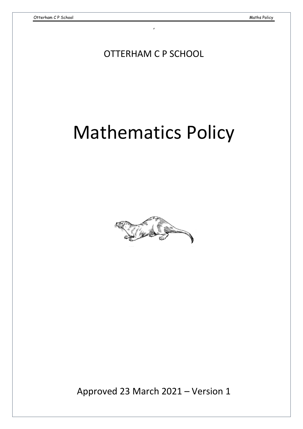OTTERHAM C P SCHOOL

,

# Mathematics Policy



Approved 23 March 2021 – Version 1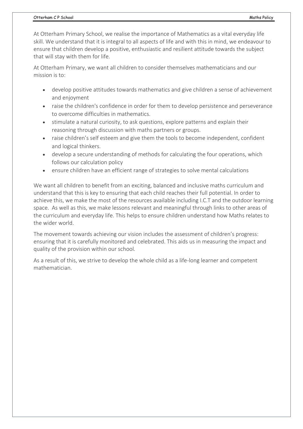At Otterham Primary School, we realise the importance of Mathematics as a vital everyday life skill. We understand that it is integral to all aspects of life and with this in mind, we endeavour to ensure that children develop a positive, enthusiastic and resilient attitude towards the subject that will stay with them for life.

At Otterham Primary, we want all children to consider themselves mathematicians and our mission is to:

- develop positive attitudes towards mathematics and give children a sense of achievement and enjoyment
- raise the children's confidence in order for them to develop persistence and perseverance to overcome difficulties in mathematics.
- stimulate a natural curiosity, to ask questions, explore patterns and explain their reasoning through discussion with maths partners or groups.
- raise children's self esteem and give them the tools to become independent, confident and logical thinkers.
- develop a secure understanding of methods for calculating the four operations, which follows our calculation policy
- ensure children have an efficient range of strategies to solve mental calculations

We want all children to benefit from an exciting, balanced and inclusive maths curriculum and understand that this is key to ensuring that each child reaches their full potential. In order to achieve this, we make the most of the resources available including I.C.T and the outdoor learning space. As well as this, we make lessons relevant and meaningful through links to other areas of the curriculum and everyday life. This helps to ensure children understand how Maths relates to the wider world.

The movement towards achieving our vision includes the assessment of children's progress: ensuring that it is carefully monitored and celebrated. This aids us in measuring the impact and quality of the provision within our school.

As a result of this, we strive to develop the whole child as a life-long learner and competent mathematician.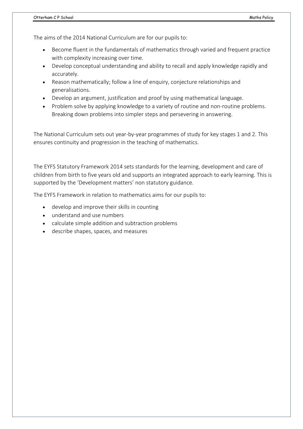The aims of the 2014 National Curriculum are for our pupils to:

- Become fluent in the fundamentals of mathematics through varied and frequent practice with complexity increasing over time.
- Develop conceptual understanding and ability to recall and apply knowledge rapidly and accurately.
- Reason mathematically; follow a line of enquiry, conjecture relationships and generalisations.
- Develop an argument, justification and proof by using mathematical language.
- Problem solve by applying knowledge to a variety of routine and non-routine problems. Breaking down problems into simpler steps and persevering in answering.

The National Curriculum sets out year-by-year programmes of study for key stages 1 and 2. This ensures continuity and progression in the teaching of mathematics.

The EYFS Statutory Framework 2014 sets standards for the learning, development and care of children from birth to five years old and supports an integrated approach to early learning. This is supported by the 'Development matters' non statutory guidance.

The EYFS Framework in relation to mathematics aims for our pupils to:

- develop and improve their skills in counting
- understand and use numbers
- calculate simple addition and subtraction problems
- describe shapes, spaces, and measures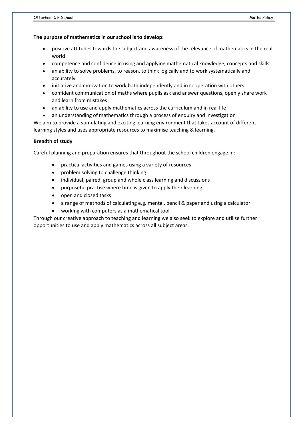# **The purpose of mathematics in our school is to develop:**

- positive attitudes towards the subject and awareness of the relevance of mathematics in the real world
- competence and confidence in using and applying mathematical knowledge, concepts and skills
- an ability to solve problems, to reason, to think logically and to work systematically and accurately
- initiative and motivation to work both independently and in cooperation with others
- confident communication of maths where pupils ask and answer questions, openly share work and learn from mistakes
- an ability to use and apply mathematics across the curriculum and in real life
- an understanding of mathematics through a process of enquiry and investigation

We aim to provide a stimulating and exciting learning environment that takes account of different learning styles and uses appropriate resources to maximise teaching & learning.

# **Breadth of study**

Careful planning and preparation ensures that throughout the school children engage in:

- practical activities and games using a variety of resources
- problem solving to challenge thinking
- individual, paired, group and whole class learning and discussions
- purposeful practise where time is given to apply their learning
- open and closed tasks
- a range of methods of calculating e.g. mental, pencil & paper and using a calculator
- working with computers as a mathematical tool

Through our creative approach to teaching and learning we also seek to explore and utilise further opportunities to use and apply mathematics across all subject areas.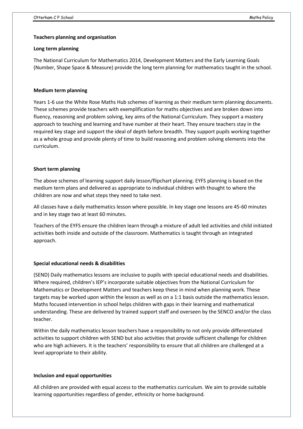## **Teachers planning and organisation**

#### **Long term planning**

The National Curriculum for Mathematics 2014, Development Matters and the Early Learning Goals (Number, Shape Space & Measure) provide the long term planning for mathematics taught in the school.

# **Medium term planning**

Years 1-6 use the White Rose Maths Hub schemes of learning as their medium term planning documents. These schemes provide teachers with exemplification for maths objectives and are broken down into fluency, reasoning and problem solving, key aims of the National Curriculum. They support a mastery approach to teaching and learning and have number at their heart. They ensure teachers stay in the required key stage and support the ideal of depth before breadth. They support pupils working together as a whole group and provide plenty of time to build reasoning and problem solving elements into the curriculum.

## **Short term planning**

The above schemes of learning support daily lesson/flipchart planning. EYFS planning is based on the medium term plans and delivered as appropriate to individual children with thought to where the children are now and what steps they need to take next.

All classes have a daily mathematics lesson where possible. In key stage one lessons are 45-60 minutes and in key stage two at least 60 minutes.

Teachers of the EYFS ensure the children learn through a mixture of adult led activities and child initiated activities both inside and outside of the classroom. Mathematics is taught through an integrated approach.

# **Special educational needs & disabilities**

(SEND) Daily mathematics lessons are inclusive to pupils with special educational needs and disabilities. Where required, children's IEP's incorporate suitable objectives from the National Curriculum for Mathematics or Development Matters and teachers keep these in mind when planning work. These targets may be worked upon within the lesson as well as on a 1:1 basis outside the mathematics lesson. Maths focused intervention in school helps children with gaps in their learning and mathematical understanding. These are delivered by trained support staff and overseen by the SENCO and/or the class teacher.

Within the daily mathematics lesson teachers have a responsibility to not only provide differentiated activities to support children with SEND but also activities that provide sufficient challenge for children who are high achievers. It is the teachers' responsibility to ensure that all children are challenged at a level appropriate to their ability.

## **Inclusion and equal opportunities**

All children are provided with equal access to the mathematics curriculum. We aim to provide suitable learning opportunities regardless of gender, ethnicity or home background.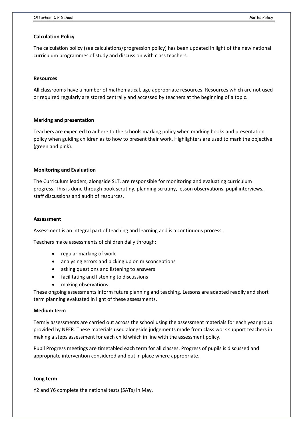## **Calculation Policy**

The calculation policy (see calculations/progression policy) has been updated in light of the new national curriculum programmes of study and discussion with class teachers.

#### **Resources**

All classrooms have a number of mathematical, age appropriate resources. Resources which are not used or required regularly are stored centrally and accessed by teachers at the beginning of a topic.

## **Marking and presentation**

Teachers are expected to adhere to the schools marking policy when marking books and presentation policy when guiding children as to how to present their work. Highlighters are used to mark the objective (green and pink).

## **Monitoring and Evaluation**

The Curriculum leaders, alongside SLT, are responsible for monitoring and evaluating curriculum progress. This is done through book scrutiny, planning scrutiny, lesson observations, pupil interviews, staff discussions and audit of resources.

#### **Assessment**

Assessment is an integral part of teaching and learning and is a continuous process.

Teachers make assessments of children daily through;

- regular marking of work
- analysing errors and picking up on misconceptions
- asking questions and listening to answers
- facilitating and listening to discussions
- making observations

These ongoing assessments inform future planning and teaching. Lessons are adapted readily and short term planning evaluated in light of these assessments.

#### **Medium term**

Termly assessments are carried out across the school using the assessment materials for each year group provided by NFER. These materials used alongside judgements made from class work support teachers in making a steps assessment for each child which in line with the assessment policy.

Pupil Progress meetings are timetabled each term for all classes. Progress of pupils is discussed and appropriate intervention considered and put in place where appropriate.

#### **Long term**

Y2 and Y6 complete the national tests (SATs) in May.